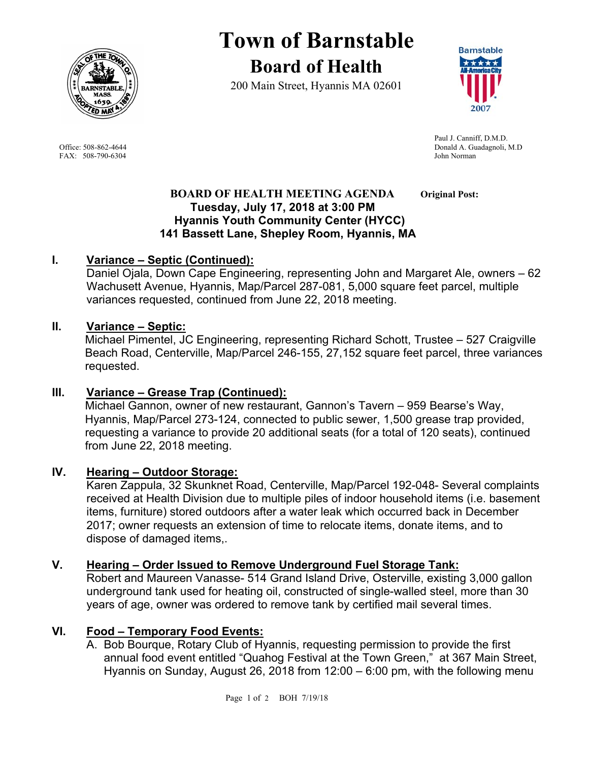

FAX: 508-790-6304 John Norman

# **Town of Barnstable Board of Health**

200 Main Street, Hyannis MA 02601



 Paul J. Canniff, D.M.D. Office: 508-862-4644 Donald A. Guadagnoli, M.D

#### **BOARD OF HEALTH MEETING AGENDA** Original Post:  **Tuesday, July 17, 2018 at 3:00 PM Hyannis Youth Community Center (HYCC) 141 Bassett Lane, Shepley Room, Hyannis, MA**

## **I. Variance – Septic (Continued):**

Daniel Ojala, Down Cape Engineering, representing John and Margaret Ale, owners – 62 Wachusett Avenue, Hyannis, Map/Parcel 287-081, 5,000 square feet parcel, multiple variances requested, continued from June 22, 2018 meeting.

### **II. Variance – Septic:**

Michael Pimentel, JC Engineering, representing Richard Schott, Trustee – 527 Craigville Beach Road, Centerville, Map/Parcel 246-155, 27,152 square feet parcel, three variances requested.

### **III. Variance – Grease Trap (Continued):**

Michael Gannon, owner of new restaurant, Gannon's Tavern – 959 Bearse's Way, Hyannis, Map/Parcel 273-124, connected to public sewer, 1,500 grease trap provided, requesting a variance to provide 20 additional seats (for a total of 120 seats), continued from June 22, 2018 meeting.

### **IV. Hearing – Outdoor Storage:**

Karen Zappula, 32 Skunknet Road, Centerville, Map/Parcel 192-048- Several complaints received at Health Division due to multiple piles of indoor household items (i.e. basement items, furniture) stored outdoors after a water leak which occurred back in December 2017; owner requests an extension of time to relocate items, donate items, and to dispose of damaged items,.

### **V. Hearing – Order Issued to Remove Underground Fuel Storage Tank:**

Robert and Maureen Vanasse- 514 Grand Island Drive, Osterville, existing 3,000 gallon underground tank used for heating oil, constructed of single-walled steel, more than 30 years of age, owner was ordered to remove tank by certified mail several times.

# **VI. Food – Temporary Food Events:**

A. Bob Bourque, Rotary Club of Hyannis, requesting permission to provide the first annual food event entitled "Quahog Festival at the Town Green," at 367 Main Street, Hyannis on Sunday, August 26, 2018 from 12:00 – 6:00 pm, with the following menu